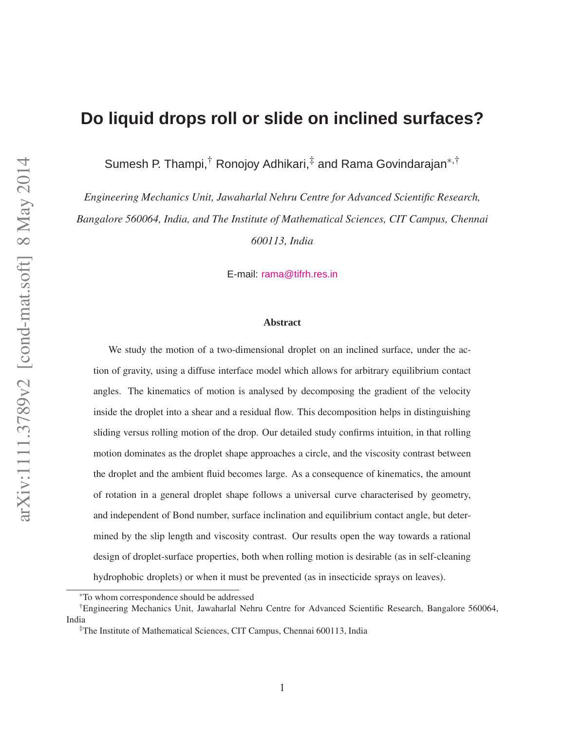# **Do liquid drops roll or slide on inclined surfaces?**

Sumesh P. Thampi,<sup>†</sup> Ronojoy Adhikari,<sup>‡</sup> and Rama Govindarajan<sup>\*,†</sup>

*Engineering Mechanics Unit, Jawaharlal Nehru Centre for Advanced Scientific Research, Bangalore 560064, India, and The Institute of Mathematical Sciences, CIT Campus, Chennai 600113, India*

E-mail: rama@tifrh.res.in

#### **Abstract**

We study the motion of a two-dimensional droplet on an inclined surface, under the action of gravity, using a diffuse interface model which allows for arbitrary equilibrium contact angles. The kinematics of motion is analysed by decomposing the gradient of the velocity inside the droplet into a shear and a residual flow. This decomposition helps in distinguishing sliding versus rolling motion of the drop. Our detailed study confirms intuition, in that rolling motion dominates as the droplet shape approaches a circle, and the viscosity contrast between the droplet and the ambient fluid becomes large. As a consequence of kinematics, the amount of rotation in a general droplet shape follows a universal curve characterised by geometry, and independent of Bond number, surface inclination and equilibrium contact angle, but determined by the slip length and viscosity contrast. Our results open the way towards a rational design of droplet-surface properties, both when rolling motion is desirable (as in self-cleaning hydrophobic droplets) or when it must be prevented (as in insecticide sprays on leaves).

<sup>∗</sup>To whom correspondence should be addressed

<sup>†</sup>Engineering Mechanics Unit, Jawaharlal Nehru Centre for Advanced Scientific Research, Bangalore 560064, India

<sup>‡</sup>The Institute of Mathematical Sciences, CIT Campus, Chennai 600113, India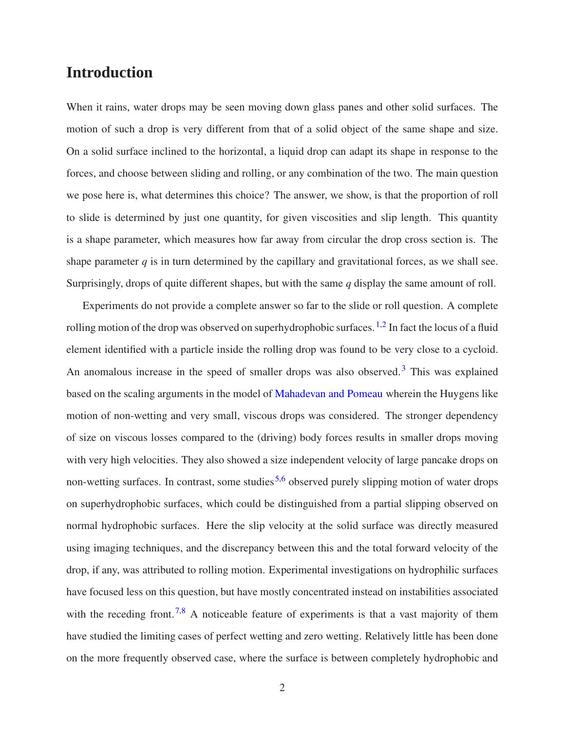## **Introduction**

When it rains, water drops may be seen moving down glass panes and other solid surfaces. The motion of such a drop is very different from that of a solid object of the same shape and size. On a solid surface inclined to the horizontal, a liquid drop can adapt its shape in response to the forces, and choose between sliding and rolling, or any combination of the two. The main question we pose here is, what determines this choice? The answer, we show, is that the proportion of roll to slide is determined by just one quantity, for given viscosities and slip length. This quantity is a shape parameter, which measures how far away from circular the drop cross section is. The shape parameter  $q$  is in turn determined by the capillary and gravitational forces, as we shall see. Surprisingly, drops of quite different shapes, but with the same *q* display the same amount of roll.

Experiments do not provide a complete answer so far to the slide or roll question. A complete rolling motion of the drop was observed on superhydrophobic surfaces. <sup>1,2</sup> In fact the locus of a fluid element identified with a particle inside the rolling drop was found to be very close to a cycloid. An anomalous increase in the speed of smaller drops was also observed.<sup>3</sup> This was explained based on the scaling arguments in the model of Mahadevan and Pomeau wherein the Huygens like motion of non-wetting and very small, viscous drops was considered. The stronger dependency of size on viscous losses compared to the (driving) body forces results in smaller drops moving with very high velocities. They also showed a size independent velocity of large pancake drops on non-wetting surfaces. In contrast, some studies<sup>5,6</sup> observed purely slipping motion of water drops on superhydrophobic surfaces, which could be distinguished from a partial slipping observed on normal hydrophobic surfaces. Here the slip velocity at the solid surface was directly measured using imaging techniques, and the discrepancy between this and the total forward velocity of the drop, if any, was attributed to rolling motion. Experimental investigations on hydrophilic surfaces have focused less on this question, but have mostly concentrated instead on instabilities associated with the receding front.<sup>7,8</sup> A noticeable feature of experiments is that a vast majority of them have studied the limiting cases of perfect wetting and zero wetting. Relatively little has been done on the more frequently observed case, where the surface is between completely hydrophobic and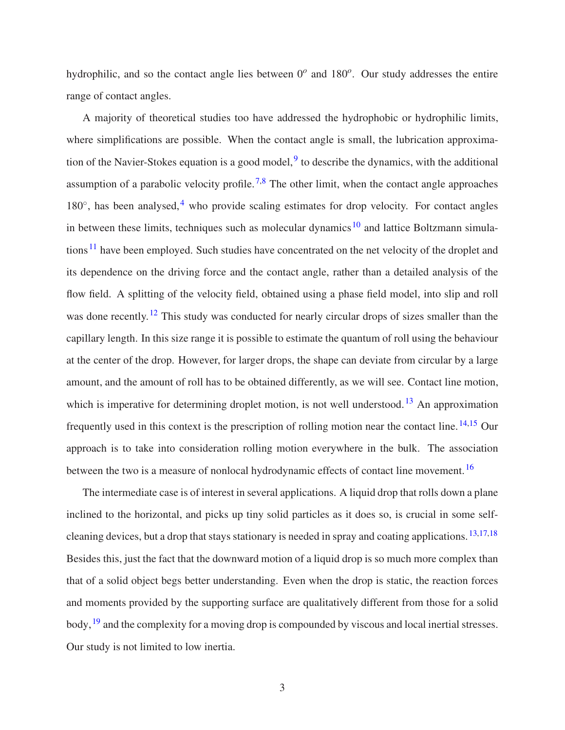hydrophilic, and so the contact angle lies between 0<sup>o</sup> and 180<sup>o</sup>. Our study addresses the entire range of contact angles.

A majority of theoretical studies too have addressed the hydrophobic or hydrophilic limits, where simplifications are possible. When the contact angle is small, the lubrication approximation of the Navier-Stokes equation is a good model, <sup>9</sup> to describe the dynamics, with the additional assumption of a parabolic velocity profile.<sup>7,8</sup> The other limit, when the contact angle approaches 180°, has been analysed,<sup>4</sup> who provide scaling estimates for drop velocity. For contact angles in between these limits, techniques such as molecular dynamics<sup>10</sup> and lattice Boltzmann simulations<sup>11</sup> have been employed. Such studies have concentrated on the net velocity of the droplet and its dependence on the driving force and the contact angle, rather than a detailed analysis of the flow field. A splitting of the velocity field, obtained using a phase field model, into slip and roll was done recently.<sup>12</sup> This study was conducted for nearly circular drops of sizes smaller than the capillary length. In this size range it is possible to estimate the quantum of roll using the behaviour at the center of the drop. However, for larger drops, the shape can deviate from circular by a large amount, and the amount of roll has to be obtained differently, as we will see. Contact line motion, which is imperative for determining droplet motion, is not well understood.<sup>13</sup> An approximation frequently used in this context is the prescription of rolling motion near the contact line.<sup>14,15</sup> Our approach is to take into consideration rolling motion everywhere in the bulk. The association between the two is a measure of nonlocal hydrodynamic effects of contact line movement.<sup>16</sup>

The intermediate case is of interest in several applications. A liquid drop that rolls down a plane inclined to the horizontal, and picks up tiny solid particles as it does so, is crucial in some selfcleaning devices, but a drop that stays stationary is needed in spray and coating applications.  $^{13,17,18}$ Besides this, just the fact that the downward motion of a liquid drop is so much more complex than that of a solid object begs better understanding. Even when the drop is static, the reaction forces and moments provided by the supporting surface are qualitatively different from those for a solid body,<sup>19</sup> and the complexity for a moving drop is compounded by viscous and local inertial stresses. Our study is not limited to low inertia.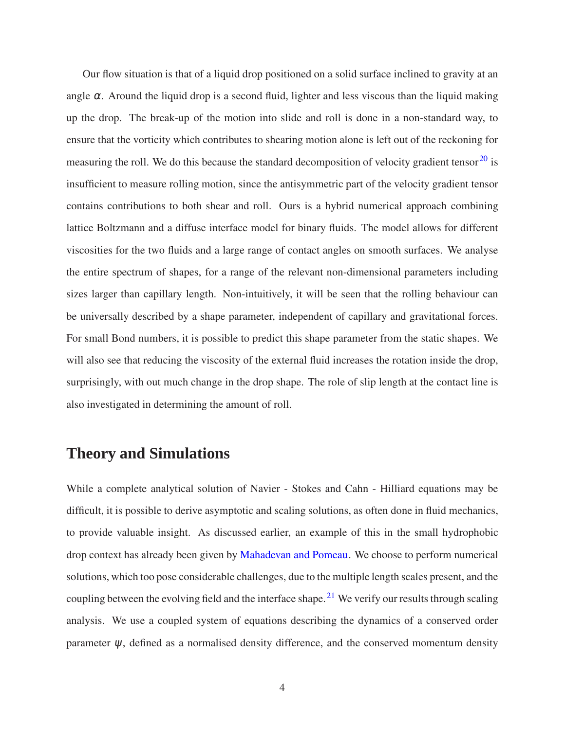Our flow situation is that of a liquid drop positioned on a solid surface inclined to gravity at an angle  $\alpha$ . Around the liquid drop is a second fluid, lighter and less viscous than the liquid making up the drop. The break-up of the motion into slide and roll is done in a non-standard way, to ensure that the vorticity which contributes to shearing motion alone is left out of the reckoning for measuring the roll. We do this because the standard decomposition of velocity gradient tensor $^{20}$  is insufficient to measure rolling motion, since the antisymmetric part of the velocity gradient tensor contains contributions to both shear and roll. Ours is a hybrid numerical approach combining lattice Boltzmann and a diffuse interface model for binary fluids. The model allows for different viscosities for the two fluids and a large range of contact angles on smooth surfaces. We analyse the entire spectrum of shapes, for a range of the relevant non-dimensional parameters including sizes larger than capillary length. Non-intuitively, it will be seen that the rolling behaviour can be universally described by a shape parameter, independent of capillary and gravitational forces. For small Bond numbers, it is possible to predict this shape parameter from the static shapes. We will also see that reducing the viscosity of the external fluid increases the rotation inside the drop, surprisingly, with out much change in the drop shape. The role of slip length at the contact line is also investigated in determining the amount of roll.

## **Theory and Simulations**

While a complete analytical solution of Navier - Stokes and Cahn - Hilliard equations may be difficult, it is possible to derive asymptotic and scaling solutions, as often done in fluid mechanics, to provide valuable insight. As discussed earlier, an example of this in the small hydrophobic drop context has already been given by Mahadevan and Pomeau. We choose to perform numerical solutions, which too pose considerable challenges, due to the multiple length scales present, and the coupling between the evolving field and the interface shape.<sup>21</sup> We verify our results through scaling analysis. We use a coupled system of equations describing the dynamics of a conserved order parameter  $\psi$ , defined as a normalised density difference, and the conserved momentum density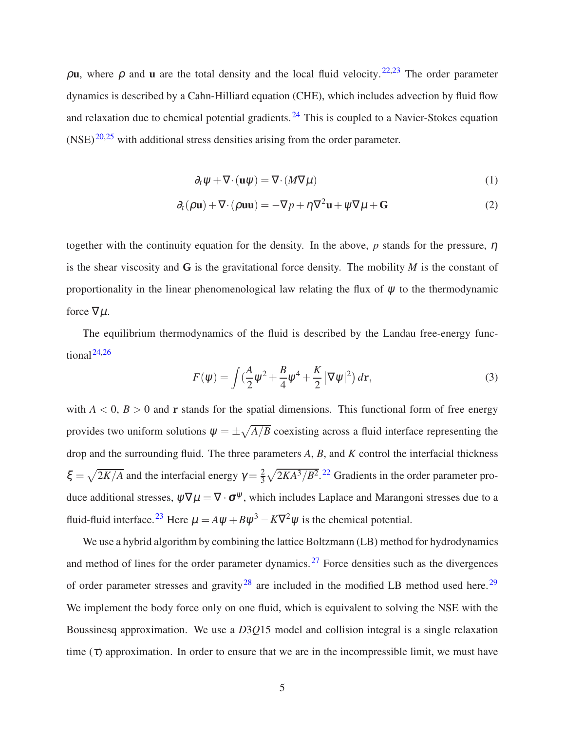**ρu**, where *ρ* and **u** are the total density and the local fluid velocity.<sup>22,23</sup> The order parameter dynamics is described by a Cahn-Hilliard equation (CHE), which includes advection by fluid flow and relaxation due to chemical potential gradients.<sup>24</sup> This is coupled to a Navier-Stokes equation  $(NSE)^{20,25}$  with additional stress densities arising from the order parameter.

$$
\partial_t \psi + \nabla \cdot (\mathbf{u}\psi) = \nabla \cdot (M\nabla \mu) \tag{1}
$$

$$
\partial_t(\rho \mathbf{u}) + \nabla \cdot (\rho \mathbf{u} \mathbf{u}) = -\nabla p + \eta \nabla^2 \mathbf{u} + \psi \nabla \mu + \mathbf{G}
$$
 (2)

together with the continuity equation for the density. In the above,  $p$  stands for the pressure,  $\eta$ is the shear viscosity and **G** is the gravitational force density. The mobility *M* is the constant of proportionality in the linear phenomenological law relating the flux of  $\psi$  to the thermodynamic force  $\nabla \mu$ .

The equilibrium thermodynamics of the fluid is described by the Landau free-energy functional<sup>24,26</sup>

$$
F(\psi) = \int (\frac{A}{2}\psi^2 + \frac{B}{4}\psi^4 + \frac{K}{2}|\nabla\psi|^2) d\mathbf{r},
$$
 (3)

with  $A < 0$ ,  $B > 0$  and **r** stands for the spatial dimensions. This functional form of free energy provides two uniform solutions  $\psi = \pm \sqrt{A/B}$  coexisting across a fluid interface representing the drop and the surrounding fluid. The three parameters *A*, *B*, and *K* control the interfacial thickness  $\xi = \sqrt{2K/A}$  and the interfacial energy  $\gamma = \frac{2}{3}$  $\frac{2}{3}\sqrt{2KA^3/B^2}$ . <sup>22</sup> Gradients in the order parameter produce additional stresses,  $\psi \nabla \mu = \nabla \cdot \sigma^{\psi}$ , which includes Laplace and Marangoni stresses due to a fluid-fluid interface.<sup>23</sup> Here  $\mu = A\psi + B\psi^3 - K\nabla^2 \psi$  is the chemical potential.

We use a hybrid algorithm by combining the lattice Boltzmann (LB) method for hydrodynamics and method of lines for the order parameter dynamics.<sup>27</sup> Force densities such as the divergences of order parameter stresses and gravity<sup>28</sup> are included in the modified LB method used here.<sup>29</sup> We implement the body force only on one fluid, which is equivalent to solving the NSE with the Boussinesq approximation. We use a *D*3*Q*15 model and collision integral is a single relaxation time  $(\tau)$  approximation. In order to ensure that we are in the incompressible limit, we must have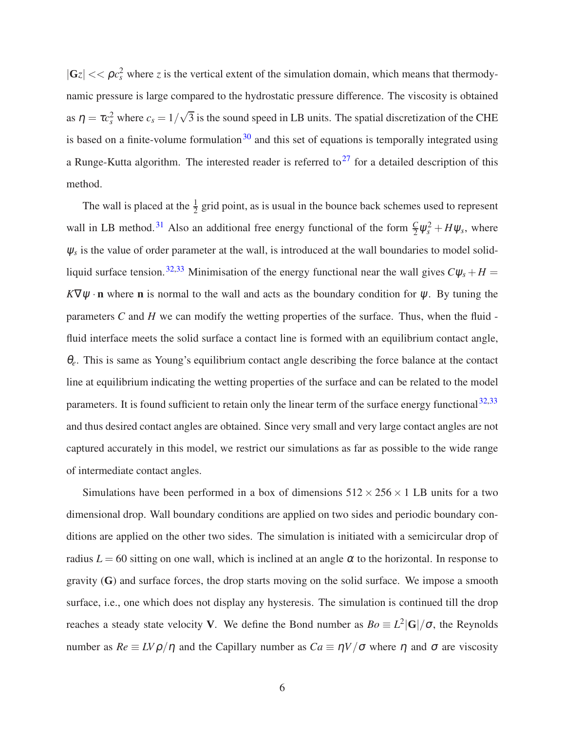$|\mathbf{G}z| \ll \rho c_s^2$  where *z* is the vertical extent of the simulation domain, which means that thermodynamic pressure is large compared to the hydrostatic pressure difference. The viscosity is obtained as  $\eta = \tau c_s^2$  where  $c_s = 1/\sqrt{3}$  is the sound speed in LB units. The spatial discretization of the CHE is based on a finite-volume formulation<sup>30</sup> and this set of equations is temporally integrated using a Runge-Kutta algorithm. The interested reader is referred to<sup>27</sup> for a detailed description of this method.

The wall is placed at the  $\frac{1}{2}$  grid point, as is usual in the bounce back schemes used to represent wall in LB method.<sup>31</sup> Also an additional free energy functional of the form  $\frac{C}{2}\psi_s^2 + H\psi_s$ , where  $\psi_s$  is the value of order parameter at the wall, is introduced at the wall boundaries to model solidliquid surface tension.<sup>32,33</sup> Minimisation of the energy functional near the wall gives  $C\psi_s + H =$  $K\nabla \psi \cdot \mathbf{n}$  where **n** is normal to the wall and acts as the boundary condition for  $\psi$ . By tuning the parameters *C* and *H* we can modify the wetting properties of the surface. Thus, when the fluid fluid interface meets the solid surface a contact line is formed with an equilibrium contact angle, <sup>θ</sup>*e*. This is same as Young's equilibrium contact angle describing the force balance at the contact line at equilibrium indicating the wetting properties of the surface and can be related to the model parameters. It is found sufficient to retain only the linear term of the surface energy functional  $32,33$ and thus desired contact angles are obtained. Since very small and very large contact angles are not captured accurately in this model, we restrict our simulations as far as possible to the wide range of intermediate contact angles.

Simulations have been performed in a box of dimensions  $512 \times 256 \times 1$  LB units for a two dimensional drop. Wall boundary conditions are applied on two sides and periodic boundary conditions are applied on the other two sides. The simulation is initiated with a semicircular drop of radius  $L = 60$  sitting on one wall, which is inclined at an angle  $\alpha$  to the horizontal. In response to gravity (**G**) and surface forces, the drop starts moving on the solid surface. We impose a smooth surface, i.e., one which does not display any hysteresis. The simulation is continued till the drop reaches a steady state velocity **V**. We define the Bond number as  $Bo \equiv L^2 |\mathbf{G}| / \sigma$ , the Reynolds number as  $Re \equiv LV \rho/\eta$  and the Capillary number as  $Ca \equiv \eta V/\sigma$  where  $\eta$  and  $\sigma$  are viscosity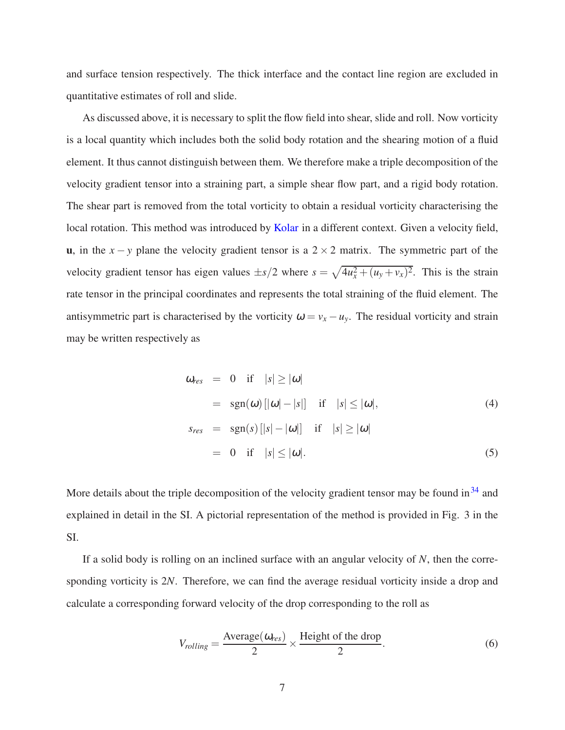and surface tension respectively. The thick interface and the contact line region are excluded in quantitative estimates of roll and slide.

As discussed above, it is necessary to split the flow field into shear, slide and roll. Now vorticity is a local quantity which includes both the solid body rotation and the shearing motion of a fluid element. It thus cannot distinguish between them. We therefore make a triple decomposition of the velocity gradient tensor into a straining part, a simple shear flow part, and a rigid body rotation. The shear part is removed from the total vorticity to obtain a residual vorticity characterising the local rotation. This method was introduced by Kolar in a different context. Given a velocity field, **u**, in the *x* − *y* plane the velocity gradient tensor is a 2  $\times$  2 matrix. The symmetric part of the velocity gradient tensor has eigen values  $\pm s/2$  where  $s = \sqrt{4u_x^2 + (u_y + v_x)^2}$ . This is the strain rate tensor in the principal coordinates and represents the total straining of the fluid element. The antisymmetric part is characterised by the vorticity  $\omega = v_x - u_y$ . The residual vorticity and strain may be written respectively as

$$
\omega_{res} = 0 \quad \text{if} \quad |s| \ge |\omega|
$$
  
\n
$$
= \text{sgn}(\omega) [|\omega| - |s|] \quad \text{if} \quad |s| \le |\omega|,
$$
  
\n
$$
s_{res} = \text{sgn}(s) [|s| - |\omega|] \quad \text{if} \quad |s| \ge |\omega|
$$
  
\n
$$
= 0 \quad \text{if} \quad |s| \le |\omega|.
$$
  
\n(5)

More details about the triple decomposition of the velocity gradient tensor may be found in $34$  and explained in detail in the SI. A pictorial representation of the method is provided in Fig. 3 in the SI.

If a solid body is rolling on an inclined surface with an angular velocity of *N*, then the corresponding vorticity is 2*N*. Therefore, we can find the average residual vorticity inside a drop and calculate a corresponding forward velocity of the drop corresponding to the roll as

$$
V_{rolling} = \frac{\text{Average}(\omega_{res})}{2} \times \frac{\text{Height of the drop}}{2}.
$$
 (6)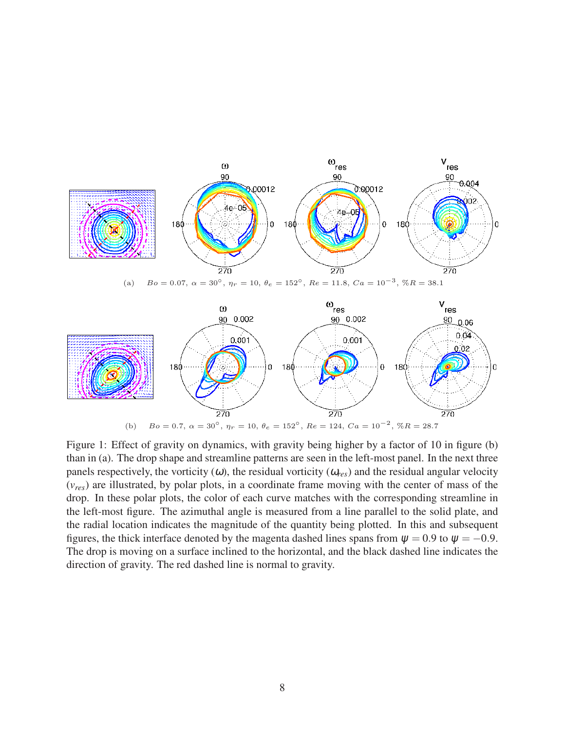



Figure 1: Effect of gravity on dynamics, with gravity being higher by a factor of 10 in figure (b) than in (a). The drop shape and streamline patterns are seen in the left-most panel. In the next three panels respectively, the vorticity  $(\omega)$ , the residual vorticity  $(\omega_{res})$  and the residual angular velocity (*vres*) are illustrated, by polar plots, in a coordinate frame moving with the center of mass of the drop. In these polar plots, the color of each curve matches with the corresponding streamline in the left-most figure. The azimuthal angle is measured from a line parallel to the solid plate, and the radial location indicates the magnitude of the quantity being plotted. In this and subsequent figures, the thick interface denoted by the magenta dashed lines spans from  $\psi = 0.9$  to  $\psi = -0.9$ . The drop is moving on a surface inclined to the horizontal, and the black dashed line indicates the direction of gravity. The red dashed line is normal to gravity.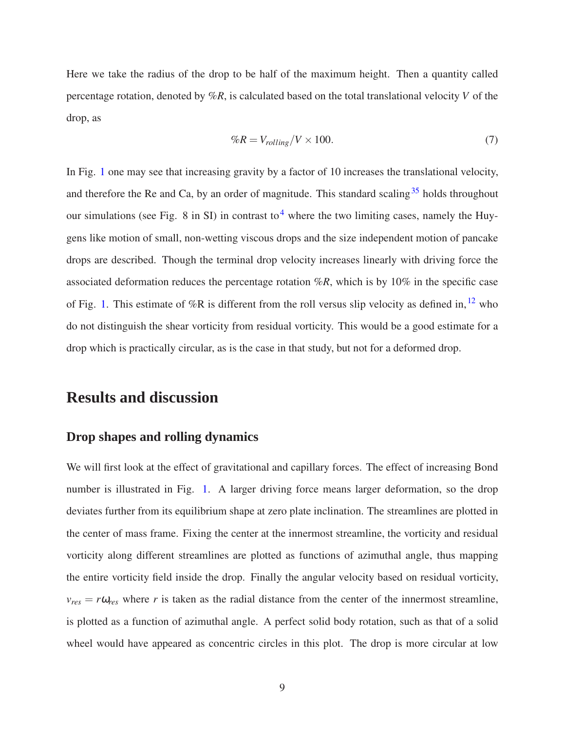Here we take the radius of the drop to be half of the maximum height. Then a quantity called percentage rotation, denoted by  $\%R$ , is calculated based on the total translational velocity *V* of the drop, as

$$
\%R = V_{rolling}/V \times 100. \tag{7}
$$

In Fig. 1 one may see that increasing gravity by a factor of 10 increases the translational velocity, and therefore the Re and Ca, by an order of magnitude. This standard scaling  $35$  holds throughout our simulations (see Fig. 8 in SI) in contrast to <sup>4</sup> where the two limiting cases, namely the Huygens like motion of small, non-wetting viscous drops and the size independent motion of pancake drops are described. Though the terminal drop velocity increases linearly with driving force the associated deformation reduces the percentage rotation %*R*, which is by 10% in the specific case of Fig. 1. This estimate of %R is different from the roll versus slip velocity as defined in,  $12$  who do not distinguish the shear vorticity from residual vorticity. This would be a good estimate for a drop which is practically circular, as is the case in that study, but not for a deformed drop.

### **Results and discussion**

#### **Drop shapes and rolling dynamics**

We will first look at the effect of gravitational and capillary forces. The effect of increasing Bond number is illustrated in Fig. 1. A larger driving force means larger deformation, so the drop deviates further from its equilibrium shape at zero plate inclination. The streamlines are plotted in the center of mass frame. Fixing the center at the innermost streamline, the vorticity and residual vorticity along different streamlines are plotted as functions of azimuthal angle, thus mapping the entire vorticity field inside the drop. Finally the angular velocity based on residual vorticity,  $v_{res} = r\omega_{res}$  where *r* is taken as the radial distance from the center of the innermost streamline, is plotted as a function of azimuthal angle. A perfect solid body rotation, such as that of a solid wheel would have appeared as concentric circles in this plot. The drop is more circular at low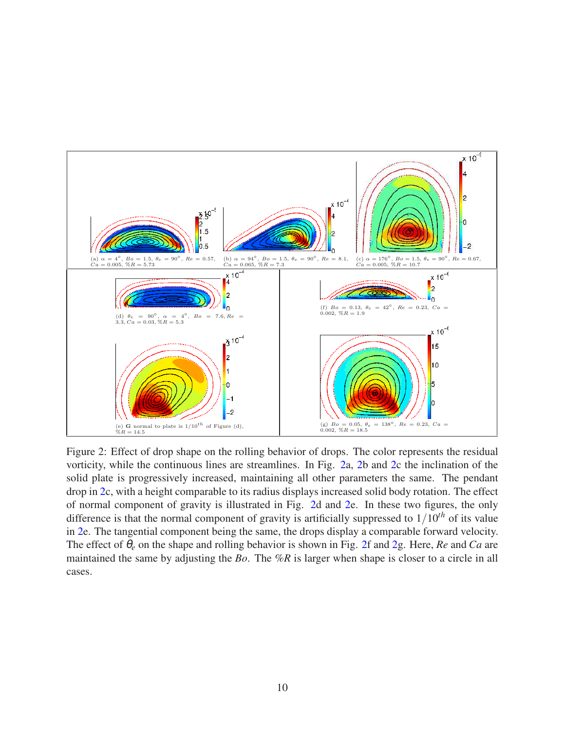

Figure 2: Effect of drop shape on the rolling behavior of drops. The color represents the residual vorticity, while the continuous lines are streamlines. In Fig. 2a, 2b and 2c the inclination of the solid plate is progressively increased, maintaining all other parameters the same. The pendant drop in 2c, with a height comparable to its radius displays increased solid body rotation. The effect of normal component of gravity is illustrated in Fig. 2d and 2e. In these two figures, the only difference is that the normal component of gravity is artificially suppressed to 1/10*th* of its value in 2e. The tangential component being the same, the drops display a comparable forward velocity. The effect of <sup>θ</sup>*<sup>e</sup>* on the shape and rolling behavior is shown in Fig. 2f and 2g. Here, *Re* and *Ca* are maintained the same by adjusting the *Bo*. The %*R* is larger when shape is closer to a circle in all cases.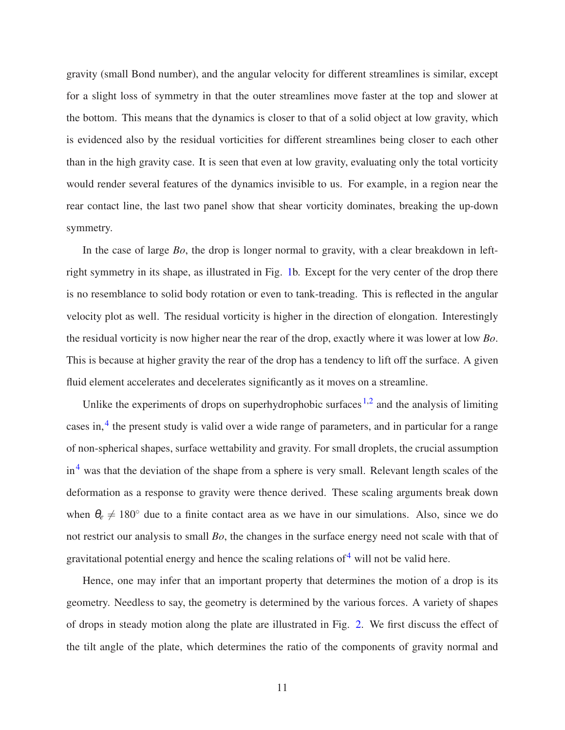gravity (small Bond number), and the angular velocity for different streamlines is similar, except for a slight loss of symmetry in that the outer streamlines move faster at the top and slower at the bottom. This means that the dynamics is closer to that of a solid object at low gravity, which is evidenced also by the residual vorticities for different streamlines being closer to each other than in the high gravity case. It is seen that even at low gravity, evaluating only the total vorticity would render several features of the dynamics invisible to us. For example, in a region near the rear contact line, the last two panel show that shear vorticity dominates, breaking the up-down symmetry.

In the case of large *Bo*, the drop is longer normal to gravity, with a clear breakdown in leftright symmetry in its shape, as illustrated in Fig. 1b. Except for the very center of the drop there is no resemblance to solid body rotation or even to tank-treading. This is reflected in the angular velocity plot as well. The residual vorticity is higher in the direction of elongation. Interestingly the residual vorticity is now higher near the rear of the drop, exactly where it was lower at low *Bo*. This is because at higher gravity the rear of the drop has a tendency to lift off the surface. A given fluid element accelerates and decelerates significantly as it moves on a streamline.

Unlike the experiments of drops on superhydrophobic surfaces<sup>1,2</sup> and the analysis of limiting cases in,<sup>4</sup> the present study is valid over a wide range of parameters, and in particular for a range of non-spherical shapes, surface wettability and gravity. For small droplets, the crucial assumption in<sup>4</sup> was that the deviation of the shape from a sphere is very small. Relevant length scales of the deformation as a response to gravity were thence derived. These scaling arguments break down when  $\theta_e \neq 180^\circ$  due to a finite contact area as we have in our simulations. Also, since we do not restrict our analysis to small *Bo*, the changes in the surface energy need not scale with that of gravitational potential energy and hence the scaling relations of  $4$  will not be valid here.

Hence, one may infer that an important property that determines the motion of a drop is its geometry. Needless to say, the geometry is determined by the various forces. A variety of shapes of drops in steady motion along the plate are illustrated in Fig. 2. We first discuss the effect of the tilt angle of the plate, which determines the ratio of the components of gravity normal and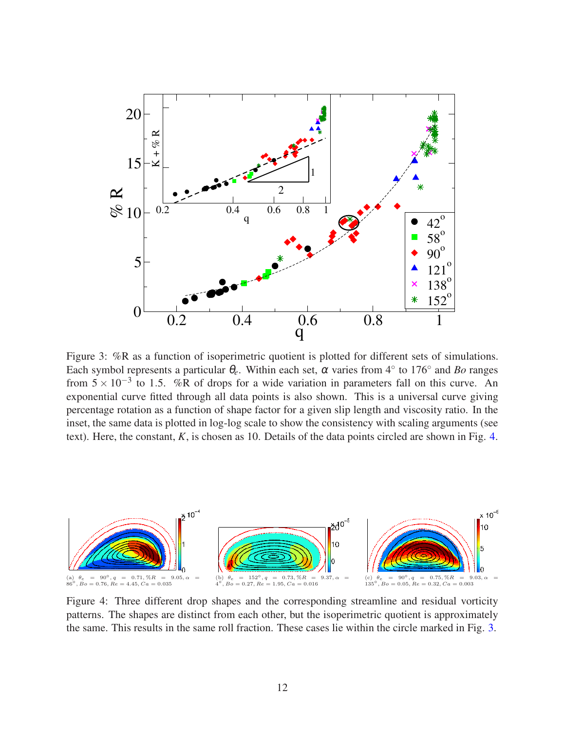

Figure 3: %R as a function of isoperimetric quotient is plotted for different sets of simulations. Each symbol represents a particular  $\theta_e$ . Within each set,  $\alpha$  varies from 4 $\degree$  to 176 $\degree$  and *Bo* ranges from  $5 \times 10^{-3}$  to 1.5. %R of drops for a wide variation in parameters fall on this curve. An exponential curve fitted through all data points is also shown. This is a universal curve giving percentage rotation as a function of shape factor for a given slip length and viscosity ratio. In the inset, the same data is plotted in log-log scale to show the consistency with scaling arguments (see text). Here, the constant, *K*, is chosen as 10. Details of the data points circled are shown in Fig. 4.



Figure 4: Three different drop shapes and the corresponding streamline and residual vorticity patterns. The shapes are distinct from each other, but the isoperimetric quotient is approximately the same. This results in the same roll fraction. These cases lie within the circle marked in Fig. 3.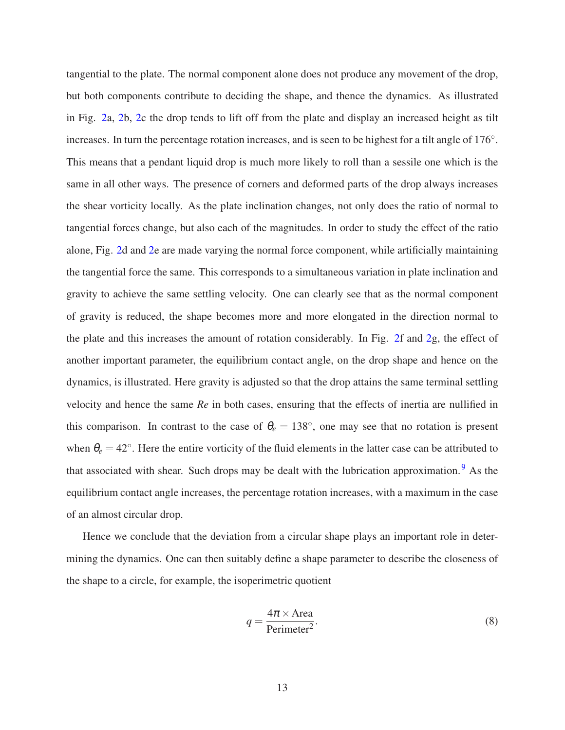tangential to the plate. The normal component alone does not produce any movement of the drop, but both components contribute to deciding the shape, and thence the dynamics. As illustrated in Fig. 2a, 2b, 2c the drop tends to lift off from the plate and display an increased height as tilt increases. In turn the percentage rotation increases, and is seen to be highest for a tilt angle of 176◦ . This means that a pendant liquid drop is much more likely to roll than a sessile one which is the same in all other ways. The presence of corners and deformed parts of the drop always increases the shear vorticity locally. As the plate inclination changes, not only does the ratio of normal to tangential forces change, but also each of the magnitudes. In order to study the effect of the ratio alone, Fig. 2d and 2e are made varying the normal force component, while artificially maintaining the tangential force the same. This corresponds to a simultaneous variation in plate inclination and gravity to achieve the same settling velocity. One can clearly see that as the normal component of gravity is reduced, the shape becomes more and more elongated in the direction normal to the plate and this increases the amount of rotation considerably. In Fig. 2f and 2g, the effect of another important parameter, the equilibrium contact angle, on the drop shape and hence on the dynamics, is illustrated. Here gravity is adjusted so that the drop attains the same terminal settling velocity and hence the same *Re* in both cases, ensuring that the effects of inertia are nullified in this comparison. In contrast to the case of  $\theta_e = 138^\circ$ , one may see that no rotation is present when  $\theta_e = 42^\circ$ . Here the entire vorticity of the fluid elements in the latter case can be attributed to that associated with shear. Such drops may be dealt with the lubrication approximation.<sup>9</sup> As the equilibrium contact angle increases, the percentage rotation increases, with a maximum in the case of an almost circular drop.

Hence we conclude that the deviation from a circular shape plays an important role in determining the dynamics. One can then suitably define a shape parameter to describe the closeness of the shape to a circle, for example, the isoperimetric quotient

$$
q = \frac{4\pi \times \text{Area}}{\text{Perimeter}^2}.
$$
 (8)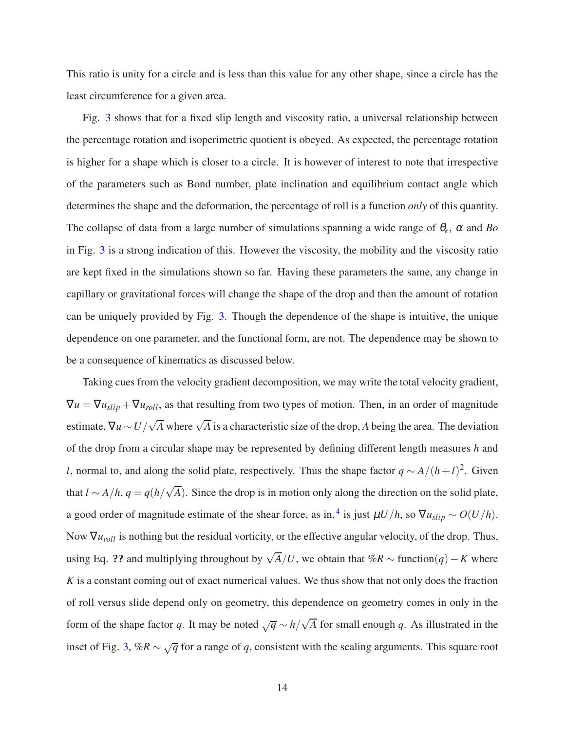This ratio is unity for a circle and is less than this value for any other shape, since a circle has the least circumference for a given area.

Fig. 3 shows that for a fixed slip length and viscosity ratio, a universal relationship between the percentage rotation and isoperimetric quotient is obeyed. As expected, the percentage rotation is higher for a shape which is closer to a circle. It is however of interest to note that irrespective of the parameters such as Bond number, plate inclination and equilibrium contact angle which determines the shape and the deformation, the percentage of roll is a function *only* of this quantity. The collapse of data from a large number of simulations spanning a wide range of <sup>θ</sup>*e*, <sup>α</sup> and *Bo* in Fig. 3 is a strong indication of this. However the viscosity, the mobility and the viscosity ratio are kept fixed in the simulations shown so far. Having these parameters the same, any change in capillary or gravitational forces will change the shape of the drop and then the amount of rotation can be uniquely provided by Fig. 3. Though the dependence of the shape is intuitive, the unique dependence on one parameter, and the functional form, are not. The dependence may be shown to be a consequence of kinematics as discussed below.

Taking cues from the velocity gradient decomposition, we may write the total velocity gradient,  $\nabla u = \nabla u_{slip} + \nabla u_{roll}$ , as that resulting from two types of motion. Then, in an order of magnitude estimate,  $\nabla u \sim U/\sqrt{A}$  where  $\sqrt{A}$  is a characteristic size of the drop, *A* being the area. The deviation of the drop from a circular shape may be represented by defining different length measures *h* and *l*, normal to, and along the solid plate, respectively. Thus the shape factor  $q \sim A/(h+l)^2$ . Given that  $l \sim A/h$ ,  $q = q(h/\sqrt{A})$ . Since the drop is in motion only along the direction on the solid plate, a good order of magnitude estimate of the shear force, as in,<sup>4</sup> is just  $\mu U/h$ , so  $\nabla u_{slip} \sim O(U/h)$ . Now  $∇ u<sub>roll</sub>$  is nothing but the residual vorticity, or the effective angular velocity, of the drop. Thus, using Eq. **??** and multiplying throughout by  $\sqrt{A}/U$ , we obtain that %*R* ~ function(*q*) – *K* where *K* is a constant coming out of exact numerical values. We thus show that not only does the fraction of roll versus slide depend only on geometry, this dependence on geometry comes in only in the form of the shape factor *q*. It may be noted  $\sqrt{q} \sim h/\sqrt{A}$  for small enough *q*. As illustrated in the inset of Fig. 3, % $R \sim \sqrt{q}$  for a range of q, consistent with the scaling arguments. This square root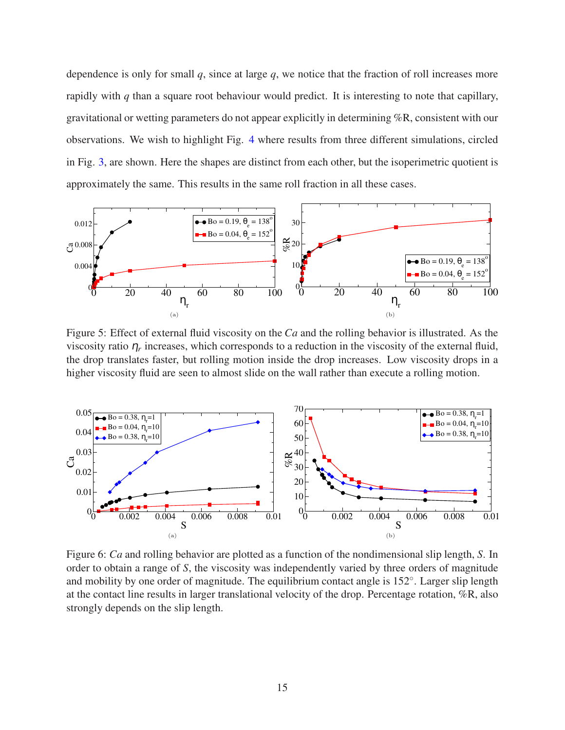dependence is only for small *q*, since at large *q*, we notice that the fraction of roll increases more rapidly with *q* than a square root behaviour would predict. It is interesting to note that capillary, gravitational or wetting parameters do not appear explicitly in determining %R, consistent with our observations. We wish to highlight Fig. 4 where results from three different simulations, circled in Fig. 3, are shown. Here the shapes are distinct from each other, but the isoperimetric quotient is approximately the same. This results in the same roll fraction in all these cases.



Figure 5: Effect of external fluid viscosity on the *Ca* and the rolling behavior is illustrated. As the viscosity ratio  $\eta_r$  increases, which corresponds to a reduction in the viscosity of the external fluid, the drop translates faster, but rolling motion inside the drop increases. Low viscosity drops in a higher viscosity fluid are seen to almost slide on the wall rather than execute a rolling motion.



Figure 6: *Ca* and rolling behavior are plotted as a function of the nondimensional slip length, *S*. In order to obtain a range of *S*, the viscosity was independently varied by three orders of magnitude and mobility by one order of magnitude. The equilibrium contact angle is 152◦ . Larger slip length at the contact line results in larger translational velocity of the drop. Percentage rotation, %R, also strongly depends on the slip length.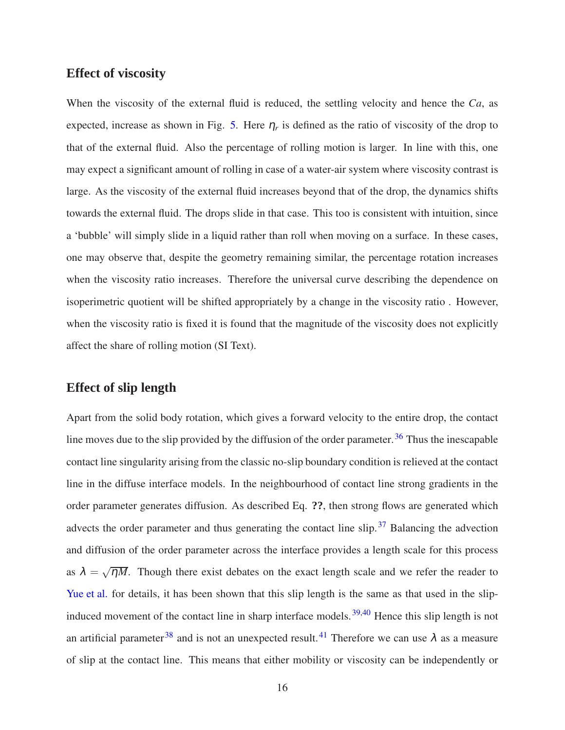#### **Effect of viscosity**

When the viscosity of the external fluid is reduced, the settling velocity and hence the *Ca*, as expected, increase as shown in Fig. 5. Here  $\eta_r$  is defined as the ratio of viscosity of the drop to that of the external fluid. Also the percentage of rolling motion is larger. In line with this, one may expect a significant amount of rolling in case of a water-air system where viscosity contrast is large. As the viscosity of the external fluid increases beyond that of the drop, the dynamics shifts towards the external fluid. The drops slide in that case. This too is consistent with intuition, since a 'bubble' will simply slide in a liquid rather than roll when moving on a surface. In these cases, one may observe that, despite the geometry remaining similar, the percentage rotation increases when the viscosity ratio increases. Therefore the universal curve describing the dependence on isoperimetric quotient will be shifted appropriately by a change in the viscosity ratio . However, when the viscosity ratio is fixed it is found that the magnitude of the viscosity does not explicitly affect the share of rolling motion (SI Text).

#### **Effect of slip length**

Apart from the solid body rotation, which gives a forward velocity to the entire drop, the contact line moves due to the slip provided by the diffusion of the order parameter.<sup>36</sup> Thus the inescapable contact line singularity arising from the classic no-slip boundary condition is relieved at the contact line in the diffuse interface models. In the neighbourhood of contact line strong gradients in the order parameter generates diffusion. As described Eq. **??**, then strong flows are generated which advects the order parameter and thus generating the contact line slip.<sup>37</sup> Balancing the advection and diffusion of the order parameter across the interface provides a length scale for this process as  $\lambda = \sqrt{\eta M}$ . Though there exist debates on the exact length scale and we refer the reader to Yue et al. for details, it has been shown that this slip length is the same as that used in the slipinduced movement of the contact line in sharp interface models.<sup>39,40</sup> Hence this slip length is not an artificial parameter<sup>38</sup> and is not an unexpected result.<sup>41</sup> Therefore we can use  $\lambda$  as a measure of slip at the contact line. This means that either mobility or viscosity can be independently or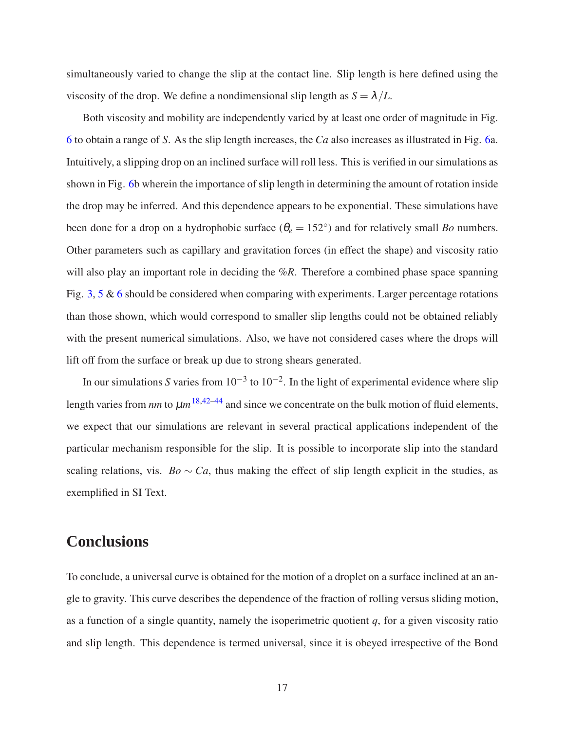simultaneously varied to change the slip at the contact line. Slip length is here defined using the viscosity of the drop. We define a nondimensional slip length as  $S = \lambda/L$ .

Both viscosity and mobility are independently varied by at least one order of magnitude in Fig. 6 to obtain a range of *S*. As the slip length increases, the *Ca* also increases as illustrated in Fig. 6a. Intuitively, a slipping drop on an inclined surface will roll less. This is verified in our simulations as shown in Fig. 6b wherein the importance of slip length in determining the amount of rotation inside the drop may be inferred. And this dependence appears to be exponential. These simulations have been done for a drop on a hydrophobic surface  $(\theta_e = 152^{\circ})$  and for relatively small *Bo* numbers. Other parameters such as capillary and gravitation forces (in effect the shape) and viscosity ratio will also play an important role in deciding the %*R*. Therefore a combined phase space spanning Fig. 3, 5 & 6 should be considered when comparing with experiments. Larger percentage rotations than those shown, which would correspond to smaller slip lengths could not be obtained reliably with the present numerical simulations. Also, we have not considered cases where the drops will lift off from the surface or break up due to strong shears generated.

In our simulations *S* varies from 10<sup>-3</sup> to 10<sup>-2</sup>. In the light of experimental evidence where slip length varies from  $nm$  to  $\mu m^{18,42-44}$  and since we concentrate on the bulk motion of fluid elements, we expect that our simulations are relevant in several practical applications independent of the particular mechanism responsible for the slip. It is possible to incorporate slip into the standard scaling relations, vis. *Bo*  $\sim$  *Ca*, thus making the effect of slip length explicit in the studies, as exemplified in SI Text.

## **Conclusions**

To conclude, a universal curve is obtained for the motion of a droplet on a surface inclined at an angle to gravity. This curve describes the dependence of the fraction of rolling versus sliding motion, as a function of a single quantity, namely the isoperimetric quotient *q*, for a given viscosity ratio and slip length. This dependence is termed universal, since it is obeyed irrespective of the Bond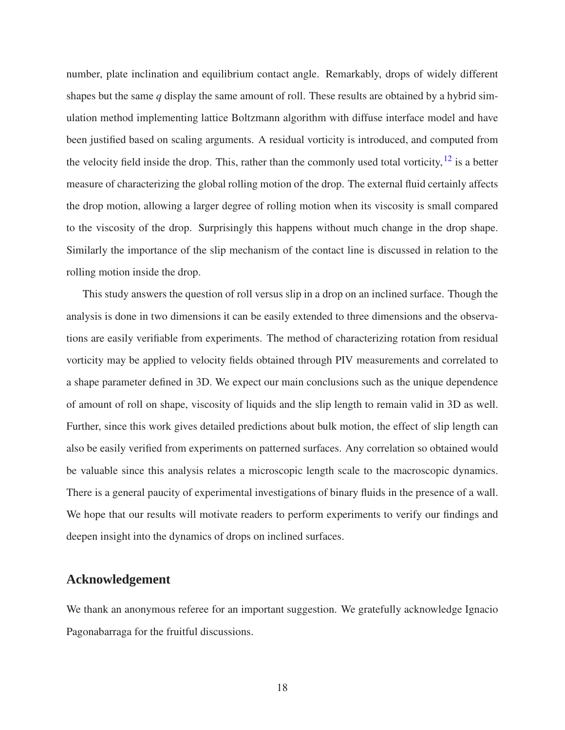number, plate inclination and equilibrium contact angle. Remarkably, drops of widely different shapes but the same *q* display the same amount of roll. These results are obtained by a hybrid simulation method implementing lattice Boltzmann algorithm with diffuse interface model and have been justified based on scaling arguments. A residual vorticity is introduced, and computed from the velocity field inside the drop. This, rather than the commonly used total vorticity,  $12$  is a better measure of characterizing the global rolling motion of the drop. The external fluid certainly affects the drop motion, allowing a larger degree of rolling motion when its viscosity is small compared to the viscosity of the drop. Surprisingly this happens without much change in the drop shape. Similarly the importance of the slip mechanism of the contact line is discussed in relation to the rolling motion inside the drop.

This study answers the question of roll versus slip in a drop on an inclined surface. Though the analysis is done in two dimensions it can be easily extended to three dimensions and the observations are easily verifiable from experiments. The method of characterizing rotation from residual vorticity may be applied to velocity fields obtained through PIV measurements and correlated to a shape parameter defined in 3D. We expect our main conclusions such as the unique dependence of amount of roll on shape, viscosity of liquids and the slip length to remain valid in 3D as well. Further, since this work gives detailed predictions about bulk motion, the effect of slip length can also be easily verified from experiments on patterned surfaces. Any correlation so obtained would be valuable since this analysis relates a microscopic length scale to the macroscopic dynamics. There is a general paucity of experimental investigations of binary fluids in the presence of a wall. We hope that our results will motivate readers to perform experiments to verify our findings and deepen insight into the dynamics of drops on inclined surfaces.

### **Acknowledgement**

We thank an anonymous referee for an important suggestion. We gratefully acknowledge Ignacio Pagonabarraga for the fruitful discussions.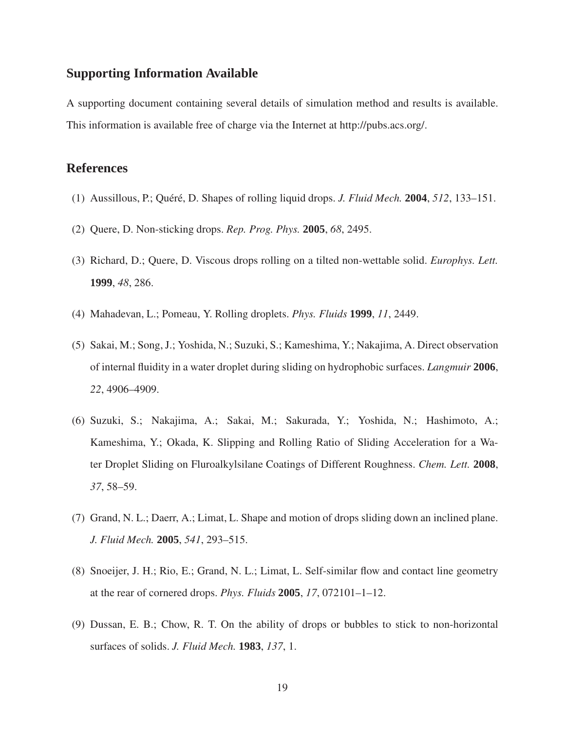#### **Supporting Information Available**

A supporting document containing several details of simulation method and results is available. This information is available free of charge via the Internet at http://pubs.acs.org/.

#### **References**

- (1) Aussillous, P.; Quéré, D. Shapes of rolling liquid drops. *J. Fluid Mech.* **2004**, *512*, 133–151.
- (2) Quere, D. Non-sticking drops. *Rep. Prog. Phys.* **2005**, *68*, 2495.
- (3) Richard, D.; Quere, D. Viscous drops rolling on a tilted non-wettable solid. *Europhys. Lett.* **1999**, *48*, 286.
- (4) Mahadevan, L.; Pomeau, Y. Rolling droplets. *Phys. Fluids* **1999**, *11*, 2449.
- (5) Sakai, M.; Song, J.; Yoshida, N.; Suzuki, S.; Kameshima, Y.; Nakajima, A. Direct observation of internal fluidity in a water droplet during sliding on hydrophobic surfaces. *Langmuir* **2006**, *22*, 4906–4909.
- (6) Suzuki, S.; Nakajima, A.; Sakai, M.; Sakurada, Y.; Yoshida, N.; Hashimoto, A.; Kameshima, Y.; Okada, K. Slipping and Rolling Ratio of Sliding Acceleration for a Water Droplet Sliding on Fluroalkylsilane Coatings of Different Roughness. *Chem. Lett.* **2008**, *37*, 58–59.
- (7) Grand, N. L.; Daerr, A.; Limat, L. Shape and motion of drops sliding down an inclined plane. *J. Fluid Mech.* **2005**, *541*, 293–515.
- (8) Snoeijer, J. H.; Rio, E.; Grand, N. L.; Limat, L. Self-similar flow and contact line geometry at the rear of cornered drops. *Phys. Fluids* **2005**, *17*, 072101–1–12.
- (9) Dussan, E. B.; Chow, R. T. On the ability of drops or bubbles to stick to non-horizontal surfaces of solids. *J. Fluid Mech.* **1983**, *137*, 1.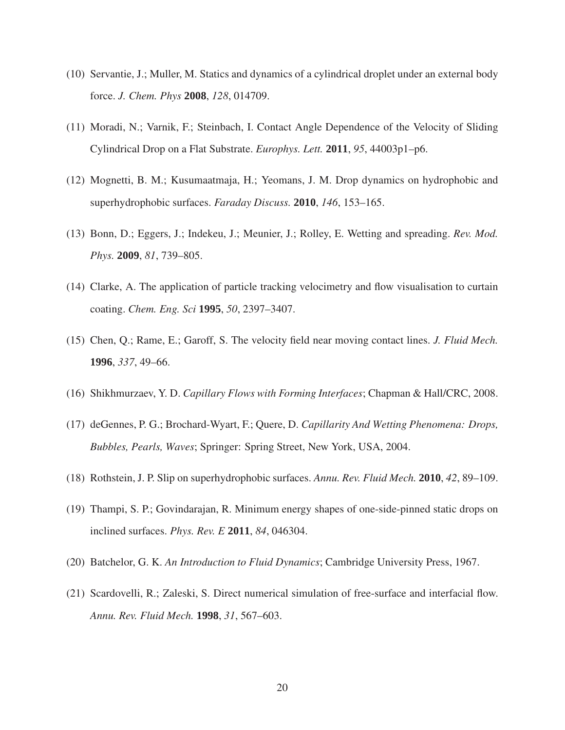- (10) Servantie, J.; Muller, M. Statics and dynamics of a cylindrical droplet under an external body force. *J. Chem. Phys* **2008**, *128*, 014709.
- (11) Moradi, N.; Varnik, F.; Steinbach, I. Contact Angle Dependence of the Velocity of Sliding Cylindrical Drop on a Flat Substrate. *Europhys. Lett.* **2011**, *95*, 44003p1–p6.
- (12) Mognetti, B. M.; Kusumaatmaja, H.; Yeomans, J. M. Drop dynamics on hydrophobic and superhydrophobic surfaces. *Faraday Discuss.* **2010**, *146*, 153–165.
- (13) Bonn, D.; Eggers, J.; Indekeu, J.; Meunier, J.; Rolley, E. Wetting and spreading. *Rev. Mod. Phys.* **2009**, *81*, 739–805.
- (14) Clarke, A. The application of particle tracking velocimetry and flow visualisation to curtain coating. *Chem. Eng. Sci* **1995**, *50*, 2397–3407.
- (15) Chen, Q.; Rame, E.; Garoff, S. The velocity field near moving contact lines. *J. Fluid Mech.* **1996**, *337*, 49–66.
- (16) Shikhmurzaev, Y. D. *Capillary Flows with Forming Interfaces*; Chapman & Hall/CRC, 2008.
- (17) deGennes, P. G.; Brochard-Wyart, F.; Quere, D. *Capillarity And Wetting Phenomena: Drops, Bubbles, Pearls, Waves*; Springer: Spring Street, New York, USA, 2004.
- (18) Rothstein, J. P. Slip on superhydrophobic surfaces. *Annu. Rev. Fluid Mech.* **2010**, *42*, 89–109.
- (19) Thampi, S. P.; Govindarajan, R. Minimum energy shapes of one-side-pinned static drops on inclined surfaces. *Phys. Rev. E* **2011**, *84*, 046304.
- (20) Batchelor, G. K. *An Introduction to Fluid Dynamics*; Cambridge University Press, 1967.
- (21) Scardovelli, R.; Zaleski, S. Direct numerical simulation of free-surface and interfacial flow. *Annu. Rev. Fluid Mech.* **1998**, *31*, 567–603.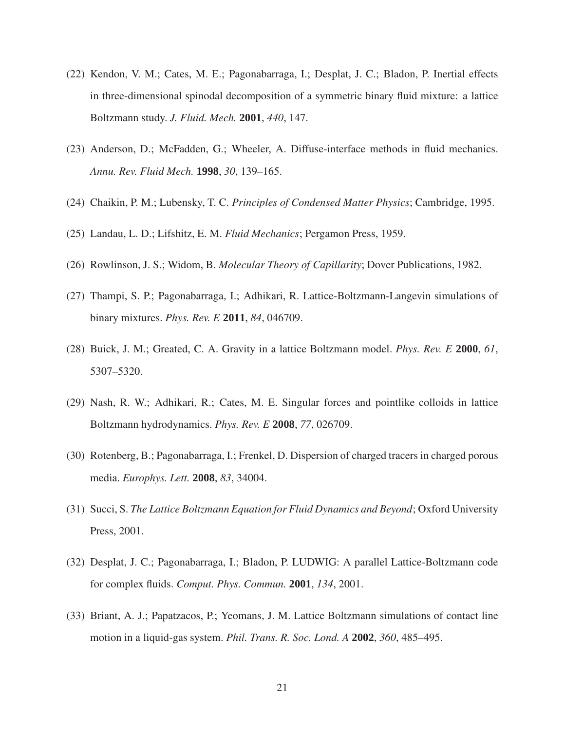- (22) Kendon, V. M.; Cates, M. E.; Pagonabarraga, I.; Desplat, J. C.; Bladon, P. Inertial effects in three-dimensional spinodal decomposition of a symmetric binary fluid mixture: a lattice Boltzmann study. *J. Fluid. Mech.* **2001**, *440*, 147.
- (23) Anderson, D.; McFadden, G.; Wheeler, A. Diffuse-interface methods in fluid mechanics. *Annu. Rev. Fluid Mech.* **1998**, *30*, 139–165.
- (24) Chaikin, P. M.; Lubensky, T. C. *Principles of Condensed Matter Physics*; Cambridge, 1995.
- (25) Landau, L. D.; Lifshitz, E. M. *Fluid Mechanics*; Pergamon Press, 1959.
- (26) Rowlinson, J. S.; Widom, B. *Molecular Theory of Capillarity*; Dover Publications, 1982.
- (27) Thampi, S. P.; Pagonabarraga, I.; Adhikari, R. Lattice-Boltzmann-Langevin simulations of binary mixtures. *Phys. Rev. E* **2011**, *84*, 046709.
- (28) Buick, J. M.; Greated, C. A. Gravity in a lattice Boltzmann model. *Phys. Rev. E* **2000**, *61*, 5307–5320.
- (29) Nash, R. W.; Adhikari, R.; Cates, M. E. Singular forces and pointlike colloids in lattice Boltzmann hydrodynamics. *Phys. Rev. E* **2008**, *77*, 026709.
- (30) Rotenberg, B.; Pagonabarraga, I.; Frenkel, D. Dispersion of charged tracers in charged porous media. *Europhys. Lett.* **2008**, *83*, 34004.
- (31) Succi, S. *The Lattice Boltzmann Equation for Fluid Dynamics and Beyond*; Oxford University Press, 2001.
- (32) Desplat, J. C.; Pagonabarraga, I.; Bladon, P. LUDWIG: A parallel Lattice-Boltzmann code for complex fluids. *Comput. Phys. Commun.* **2001**, *134*, 2001.
- (33) Briant, A. J.; Papatzacos, P.; Yeomans, J. M. Lattice Boltzmann simulations of contact line motion in a liquid-gas system. *Phil. Trans. R. Soc. Lond. A* **2002**, *360*, 485–495.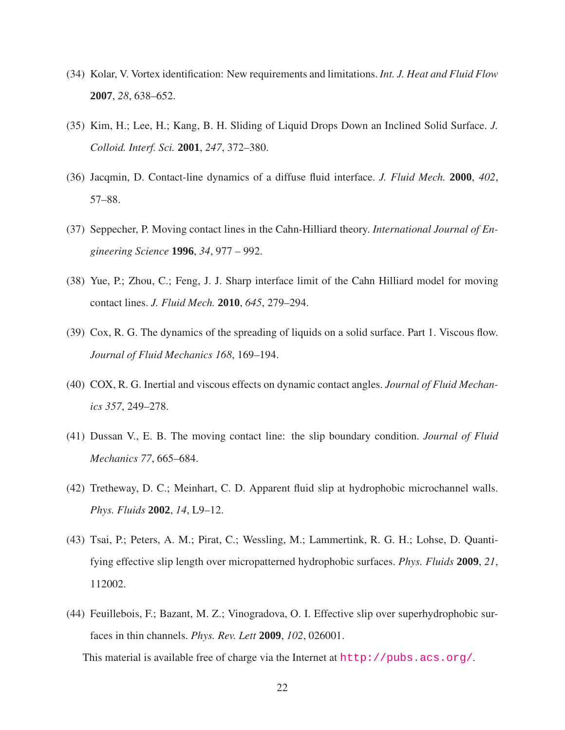- (34) Kolar, V. Vortex identification: New requirements and limitations. *Int. J. Heat and Fluid Flow* **2007**, *28*, 638–652.
- (35) Kim, H.; Lee, H.; Kang, B. H. Sliding of Liquid Drops Down an Inclined Solid Surface. *J. Colloid. Interf. Sci.* **2001**, *247*, 372–380.
- (36) Jacqmin, D. Contact-line dynamics of a diffuse fluid interface. *J. Fluid Mech.* **2000**, *402*, 57–88.
- (37) Seppecher, P. Moving contact lines in the Cahn-Hilliard theory. *International Journal of Engineering Science* **1996**, *34*, 977 – 992.
- (38) Yue, P.; Zhou, C.; Feng, J. J. Sharp interface limit of the Cahn Hilliard model for moving contact lines. *J. Fluid Mech.* **2010**, *645*, 279–294.
- (39) Cox, R. G. The dynamics of the spreading of liquids on a solid surface. Part 1. Viscous flow. *Journal of Fluid Mechanics 168*, 169–194.
- (40) COX, R. G. Inertial and viscous effects on dynamic contact angles. *Journal of Fluid Mechanics 357*, 249–278.
- (41) Dussan V., E. B. The moving contact line: the slip boundary condition. *Journal of Fluid Mechanics 77*, 665–684.
- (42) Tretheway, D. C.; Meinhart, C. D. Apparent fluid slip at hydrophobic microchannel walls. *Phys. Fluids* **2002**, *14*, L9–12.
- (43) Tsai, P.; Peters, A. M.; Pirat, C.; Wessling, M.; Lammertink, R. G. H.; Lohse, D. Quantifying effective slip length over micropatterned hydrophobic surfaces. *Phys. Fluids* **2009**, *21*, 112002.
- (44) Feuillebois, F.; Bazant, M. Z.; Vinogradova, O. I. Effective slip over superhydrophobic surfaces in thin channels. *Phys. Rev. Lett* **2009**, *102*, 026001.

This material is available free of charge via the Internet at http://pubs.acs.org/.